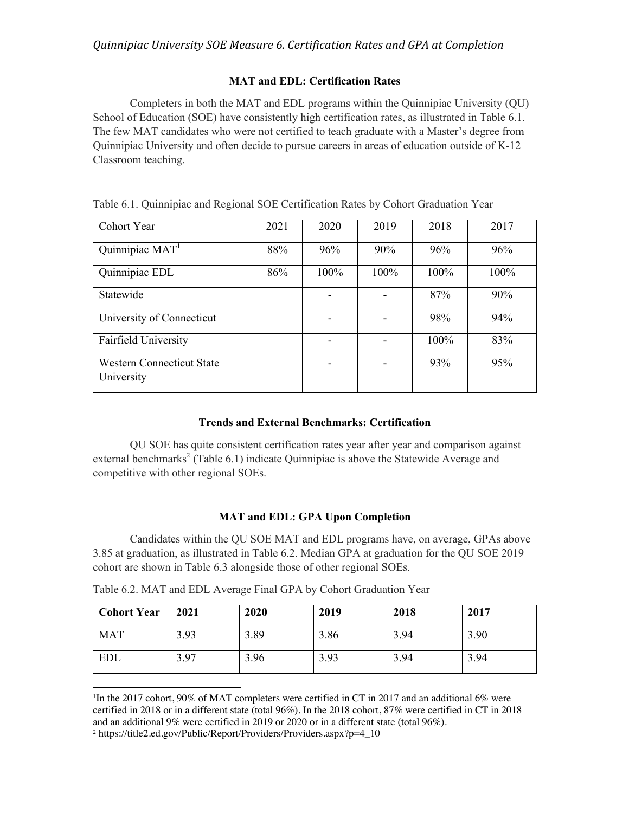## **MAT and EDL: Certification Rates**

<span id="page-0-0"></span>Completers in both the MAT and EDL programs within the Quinnipiac University (QU) School of Education (SOE) have consistently high certification rates, as illustrated in Table 6.1. The few MAT candidates who were not certified to teach graduate with a Master's degree from Quinnipiac University and often decide to pursue careers in areas of education outside of K-12 Classroom teaching.

| Cohort Year                                    | 2021 | 2020 | 2019 | 2018 | 2017 |
|------------------------------------------------|------|------|------|------|------|
| Quinnipiac MAT <sup>1</sup>                    | 88%  | 96%  | 90%  | 96%  | 96%  |
| Quinnipiac EDL                                 | 86%  | 100% | 100% | 100% | 100% |
| Statewide                                      |      |      |      | 87%  | 90%  |
| University of Connecticut                      |      |      |      | 98%  | 94%  |
| Fairfield University                           |      |      |      | 100% | 83%  |
| <b>Western Connecticut State</b><br>University |      |      |      | 93%  | 95%  |

Table 6.1. Quinnipiac and Regional SOE Certification Rates by Cohort Graduation Year

## **Trends and External Benchmarks: Certification**

QU SOE has quite consistent certification rates year after year and comparison against external benchmarks<sup>2</sup> (Table 6.1) indicate Quinnipiac is above the Statewide Average and competitive with other regional SOEs.

## **MAT and EDL: GPA Upon Completion**

Candidates within the QU SOE MAT and EDL programs have, on average, GPAs above 3.85 at graduation, as illustrated in Table 6.2. Median GPA at graduation for the QU SOE 2019 cohort are shown in Table 6.3 alongside those of other regional SOEs.

Table 6.2. MAT and EDL Average Final GPA by Cohort Graduation Year

| <b>Cohort Year</b> | 2021 | 2020 | 2019 | 2018 | 2017 |
|--------------------|------|------|------|------|------|
| <b>MAT</b>         | 3.93 | 3.89 | 3.86 | 3.94 | 3.90 |
| EDL                | 3.97 | 3.96 | 3.93 | 3.94 | 3.94 |

<sup>&</sup>lt;sup>1</sup>In the 2017 cohort, 90% of MAT completers were certified in CT in 2017 and an additional 6% were certified in 2018 or in a different state (total 96%). In the 2018 cohort, 87% were certified in CT in 2018 and an additional 9% were certified in 2019 or 2020 or in a different state (total 96%).

<sup>2</sup> [https://title2.ed.gov/Public/Report/Providers/Providers.aspx?p=4\\_10](https://title2.ed.gov/Public/Report/Providers/Providers.aspx?p=4_10)